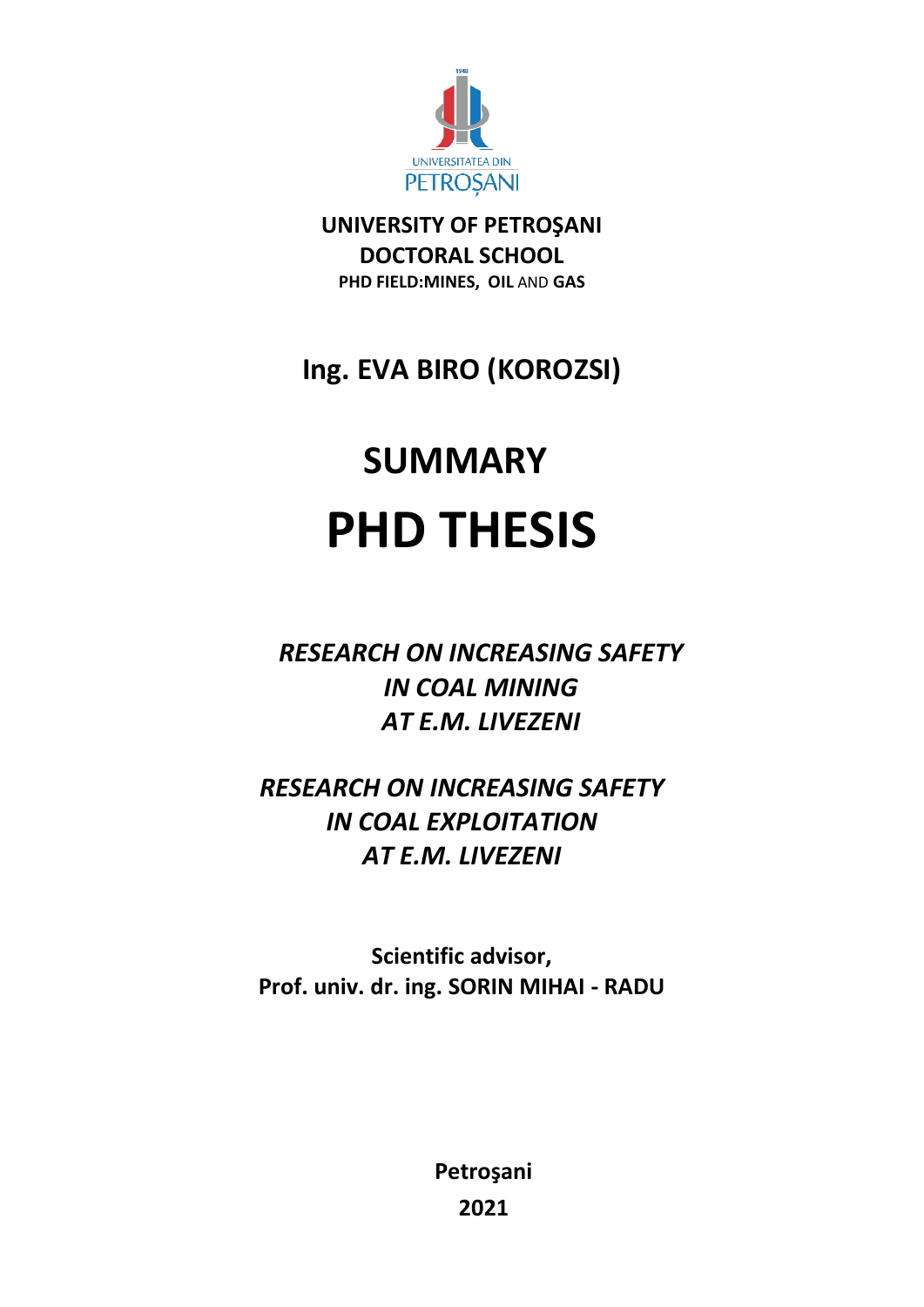

**UNIVERSITY OF PETROŞANI DOCTORAL SCHOOL PHD FIELD:MINES, OIL** AND **GAS**

## **Ing. EVA BIRO (KOROZSI)**

# **SUMMARY PHD THESIS**

*RESEARCH ON INCREASING SAFETY IN COAL MINING AT E.M. LIVEZENI* 

*RESEARCH ON INCREASING SAFETY IN COAL EXPLOITATION AT E.M. LIVEZENI*

**Scientific advisor, Prof. univ. dr. ing. SORIN MIHAI - RADU** 

> **Petroşani 2021**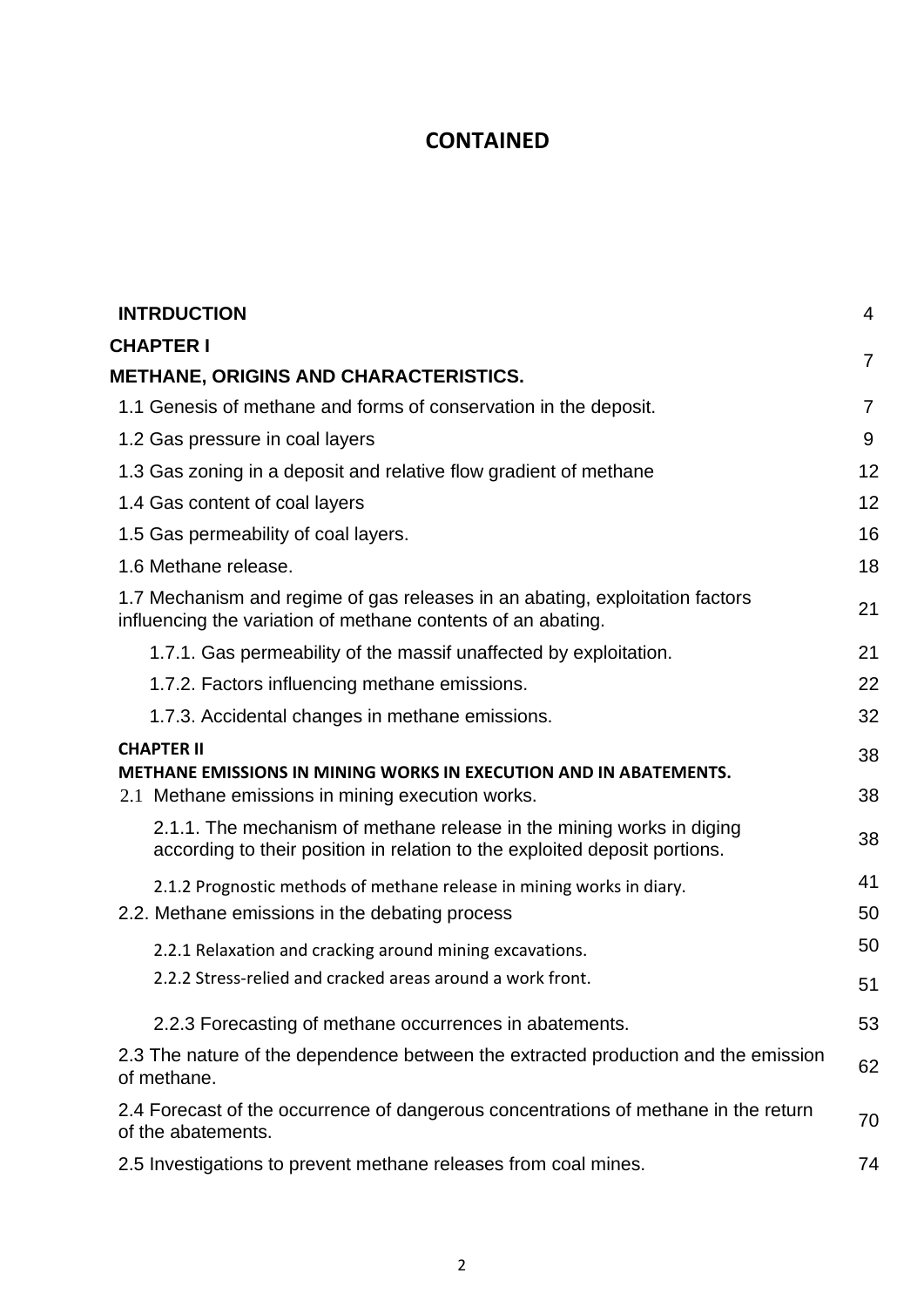### **CONTAINED**

| <b>INTRDUCTION</b>                                                                                                                                  | $\overline{4}$ |
|-----------------------------------------------------------------------------------------------------------------------------------------------------|----------------|
| <b>CHAPTER I</b>                                                                                                                                    |                |
| <b>METHANE, ORIGINS AND CHARACTERISTICS.</b>                                                                                                        | $\overline{7}$ |
| 1.1 Genesis of methane and forms of conservation in the deposit.                                                                                    | $\overline{7}$ |
| 1.2 Gas pressure in coal layers                                                                                                                     | 9              |
| 1.3 Gas zoning in a deposit and relative flow gradient of methane                                                                                   | 12             |
| 1.4 Gas content of coal layers                                                                                                                      | 12             |
| 1.5 Gas permeability of coal layers.                                                                                                                | 16             |
| 1.6 Methane release.                                                                                                                                | 18             |
| 1.7 Mechanism and regime of gas releases in an abating, exploitation factors<br>influencing the variation of methane contents of an abating.        | 21             |
| 1.7.1. Gas permeability of the massif unaffected by exploitation.                                                                                   | 21             |
| 1.7.2. Factors influencing methane emissions.                                                                                                       | 22             |
| 1.7.3. Accidental changes in methane emissions.                                                                                                     | 32             |
| <b>CHAPTER II</b><br><b>METHANE EMISSIONS IN MINING WORKS IN EXECUTION AND IN ABATEMENTS.</b><br>2.1 Methane emissions in mining execution works.   | 38<br>38       |
| 2.1.1. The mechanism of methane release in the mining works in diging<br>according to their position in relation to the exploited deposit portions. | 38             |
| 2.1.2 Prognostic methods of methane release in mining works in diary.                                                                               | 41             |
| 2.2. Methane emissions in the debating process                                                                                                      | 50             |
| 2.2.1 Relaxation and cracking around mining excavations.                                                                                            | 50             |
| 2.2.2 Stress-relied and cracked areas around a work front.                                                                                          | 51             |
| 2.2.3 Forecasting of methane occurrences in abatements.                                                                                             | 53             |
| 2.3 The nature of the dependence between the extracted production and the emission<br>of methane.                                                   | 62             |
| 2.4 Forecast of the occurrence of dangerous concentrations of methane in the return<br>of the abatements.                                           | 70             |
| 2.5 Investigations to prevent methane releases from coal mines.                                                                                     | 74             |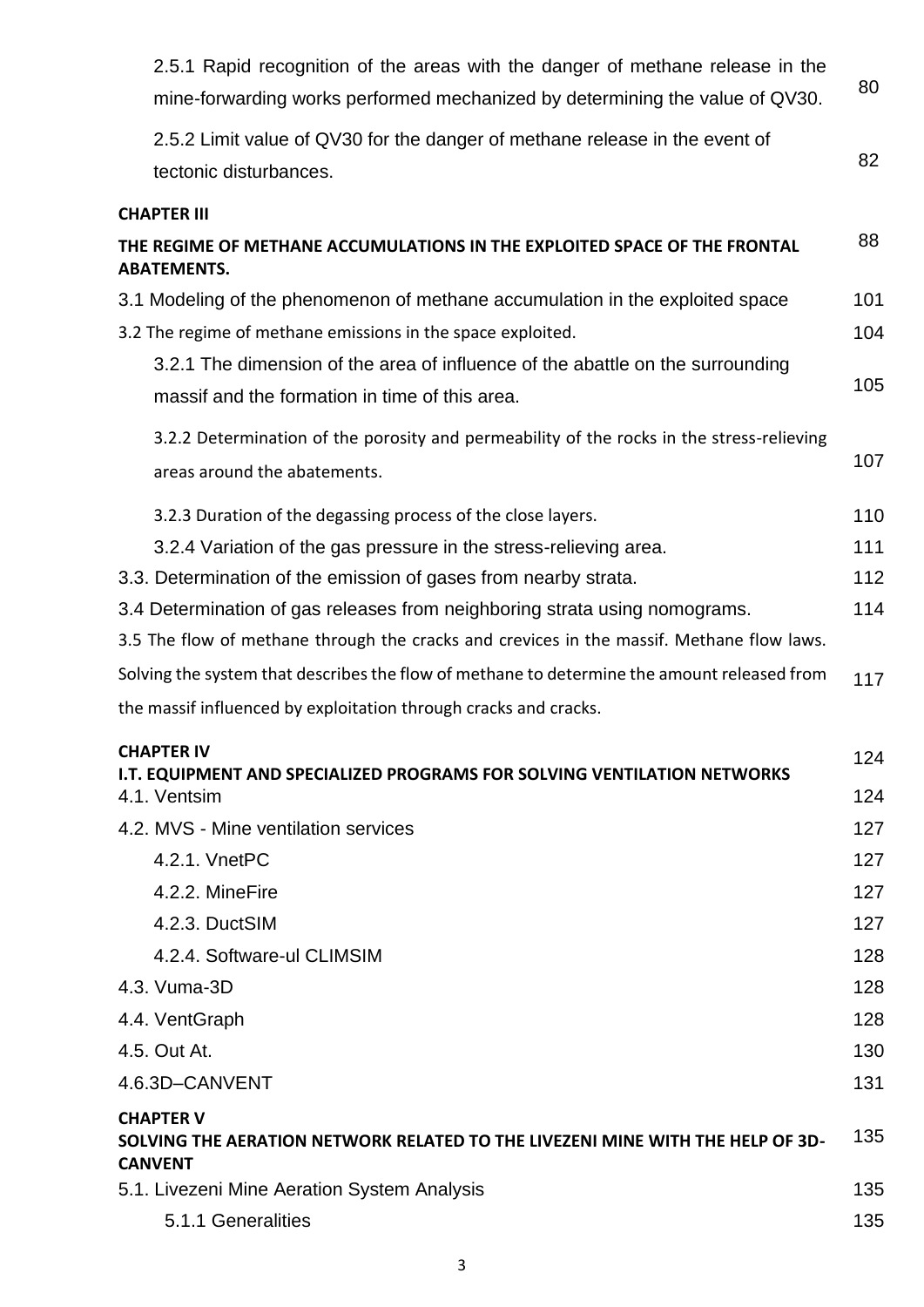| 2.5.1 Rapid recognition of the areas with the danger of methane release in the<br>mine-forwarding works performed mechanized by determining the value of QV30. | 80         |
|----------------------------------------------------------------------------------------------------------------------------------------------------------------|------------|
| 2.5.2 Limit value of QV30 for the danger of methane release in the event of                                                                                    |            |
| tectonic disturbances.                                                                                                                                         | 82         |
| <b>CHAPTER III</b>                                                                                                                                             |            |
| THE REGIME OF METHANE ACCUMULATIONS IN THE EXPLOITED SPACE OF THE FRONTAL<br><b>ABATEMENTS.</b>                                                                | 88         |
| 3.1 Modeling of the phenomenon of methane accumulation in the exploited space                                                                                  | 101        |
| 3.2 The regime of methane emissions in the space exploited.                                                                                                    | 104        |
| 3.2.1 The dimension of the area of influence of the abattle on the surrounding                                                                                 |            |
| massif and the formation in time of this area.                                                                                                                 | 105        |
| 3.2.2 Determination of the porosity and permeability of the rocks in the stress-relieving                                                                      |            |
| areas around the abatements.                                                                                                                                   | 107        |
|                                                                                                                                                                |            |
| 3.2.3 Duration of the degassing process of the close layers.                                                                                                   | 110        |
| 3.2.4 Variation of the gas pressure in the stress-relieving area.<br>3.3. Determination of the emission of gases from nearby strata.                           | 111<br>112 |
| 3.4 Determination of gas releases from neighboring strata using nomograms.                                                                                     | 114        |
| 3.5 The flow of methane through the cracks and crevices in the massif. Methane flow laws.                                                                      |            |
| Solving the system that describes the flow of methane to determine the amount released from                                                                    |            |
| the massif influenced by exploitation through cracks and cracks.                                                                                               | 117        |
|                                                                                                                                                                |            |
| <b>CHAPTER IV</b><br><b>I.T. EQUIPMENT AND SPECIALIZED PROGRAMS FOR SOLVING VENTILATION NETWORKS</b>                                                           | 124        |
| 4.1. Ventsim                                                                                                                                                   | 124        |
| 4.2. MVS - Mine ventilation services                                                                                                                           | 127        |
| 4.2.1. VnetPC                                                                                                                                                  | 127        |
| 4.2.2. MineFire                                                                                                                                                | 127        |
| 4.2.3. DuctSIM                                                                                                                                                 | 127        |
| 4.2.4. Software-ul CLIMSIM                                                                                                                                     | 128        |
| 4.3. Vuma-3D                                                                                                                                                   | 128        |
| 4.4. VentGraph                                                                                                                                                 | 128        |
| 4.5. Out At.                                                                                                                                                   | 130        |
| 4.6.3D-CANVENT                                                                                                                                                 | 131        |
| <b>CHAPTER V</b><br>SOLVING THE AERATION NETWORK RELATED TO THE LIVEZENI MINE WITH THE HELP OF 3D-<br><b>CANVENT</b>                                           | 135        |
| 5.1. Livezeni Mine Aeration System Analysis                                                                                                                    | 135        |
| 5.1.1 Generalities                                                                                                                                             | 135        |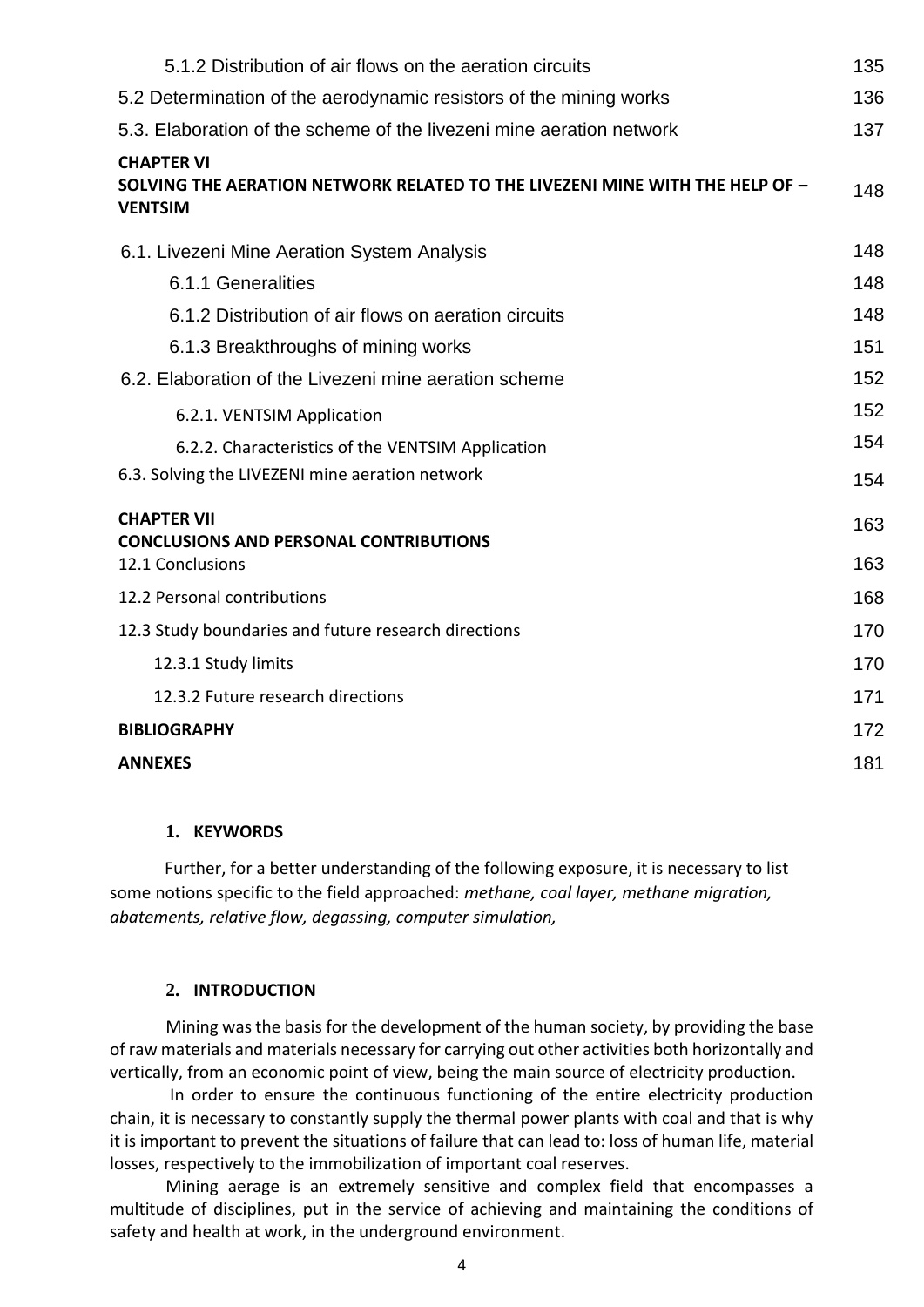| 5.1.2 Distribution of air flows on the aeration circuits                                                            | 135 |
|---------------------------------------------------------------------------------------------------------------------|-----|
| 5.2 Determination of the aerodynamic resistors of the mining works                                                  | 136 |
| 5.3. Elaboration of the scheme of the livezeni mine aeration network                                                | 137 |
| <b>CHAPTER VI</b><br>SOLVING THE AERATION NETWORK RELATED TO THE LIVEZENI MINE WITH THE HELP OF -<br><b>VENTSIM</b> | 148 |
| 6.1. Livezeni Mine Aeration System Analysis                                                                         | 148 |
| 6.1.1 Generalities                                                                                                  | 148 |
| 6.1.2 Distribution of air flows on aeration circuits                                                                | 148 |
| 6.1.3 Breakthroughs of mining works                                                                                 | 151 |
| 6.2. Elaboration of the Livezeni mine aeration scheme                                                               | 152 |
| 6.2.1. VENTSIM Application                                                                                          | 152 |
| 6.2.2. Characteristics of the VENTSIM Application                                                                   | 154 |
| 6.3. Solving the LIVEZENI mine aeration network                                                                     | 154 |
| <b>CHAPTER VII</b><br><b>CONCLUSIONS AND PERSONAL CONTRIBUTIONS</b>                                                 | 163 |
| 12.1 Conclusions                                                                                                    | 163 |
| 12.2 Personal contributions                                                                                         | 168 |
| 12.3 Study boundaries and future research directions                                                                | 170 |
| 12.3.1 Study limits                                                                                                 | 170 |
| 12.3.2 Future research directions                                                                                   | 171 |
| <b>BIBLIOGRAPHY</b>                                                                                                 | 172 |
| <b>ANNEXES</b>                                                                                                      | 181 |
|                                                                                                                     |     |

#### **1. KEYWORDS**

Further, for a better understanding of the following exposure, it is necessary to list some notions specific to the field approached: *methane, coal layer, methane migration, abatements, relative flow, degassing, computer simulation,* 

#### **2. INTRODUCTION**

Mining was the basis for the development of the human society, by providing the base of raw materials and materials necessary for carrying out other activities both horizontally and vertically, from an economic point of view, being the main source of electricity production.

In order to ensure the continuous functioning of the entire electricity production chain, it is necessary to constantly supply the thermal power plants with coal and that is why it is important to prevent the situations of failure that can lead to: loss of human life, material losses, respectively to the immobilization of important coal reserves.

Mining aerage is an extremely sensitive and complex field that encompasses a multitude of disciplines, put in the service of achieving and maintaining the conditions of safety and health at work, in the underground environment.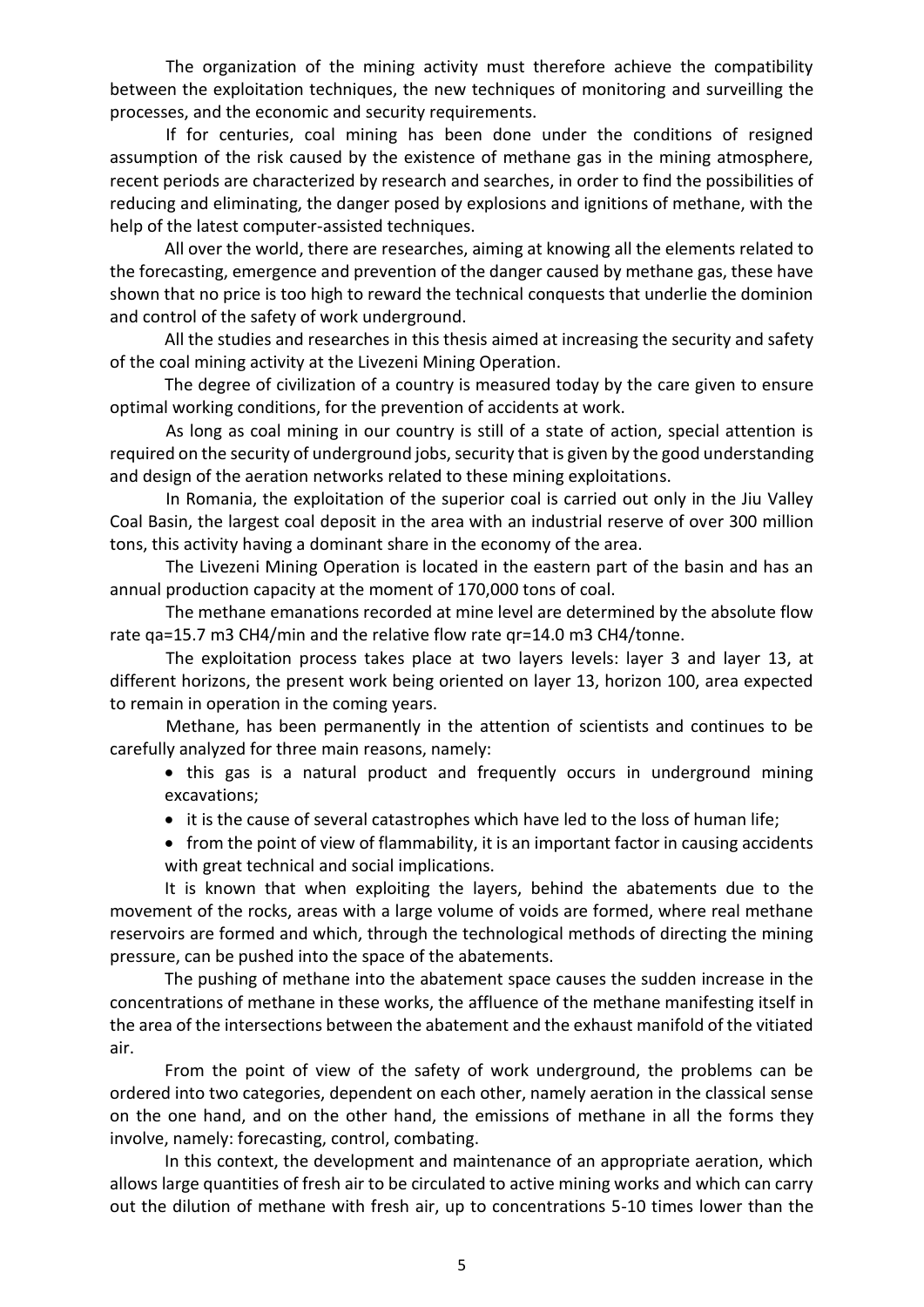The organization of the mining activity must therefore achieve the compatibility between the exploitation techniques, the new techniques of monitoring and surveilling the processes, and the economic and security requirements.

If for centuries, coal mining has been done under the conditions of resigned assumption of the risk caused by the existence of methane gas in the mining atmosphere, recent periods are characterized by research and searches, in order to find the possibilities of reducing and eliminating, the danger posed by explosions and ignitions of methane, with the help of the latest computer-assisted techniques.

All over the world, there are researches, aiming at knowing all the elements related to the forecasting, emergence and prevention of the danger caused by methane gas, these have shown that no price is too high to reward the technical conquests that underlie the dominion and control of the safety of work underground.

All the studies and researches in this thesis aimed at increasing the security and safety of the coal mining activity at the Livezeni Mining Operation.

The degree of civilization of a country is measured today by the care given to ensure optimal working conditions, for the prevention of accidents at work.

As long as coal mining in our country is still of a state of action, special attention is required on the security of underground jobs, security that is given by the good understanding and design of the aeration networks related to these mining exploitations.

In Romania, the exploitation of the superior coal is carried out only in the Jiu Valley Coal Basin, the largest coal deposit in the area with an industrial reserve of over 300 million tons, this activity having a dominant share in the economy of the area.

The Livezeni Mining Operation is located in the eastern part of the basin and has an annual production capacity at the moment of 170,000 tons of coal.

The methane emanations recorded at mine level are determined by the absolute flow rate qa=15.7 m3 CH4/min and the relative flow rate qr=14.0 m3 CH4/tonne.

The exploitation process takes place at two layers levels: layer 3 and layer 13, at different horizons, the present work being oriented on layer 13, horizon 100, area expected to remain in operation in the coming years.

Methane, has been permanently in the attention of scientists and continues to be carefully analyzed for three main reasons, namely:

• this gas is a natural product and frequently occurs in underground mining excavations;

- it is the cause of several catastrophes which have led to the loss of human life;
- from the point of view of flammability, it is an important factor in causing accidents with great technical and social implications.

It is known that when exploiting the layers, behind the abatements due to the movement of the rocks, areas with a large volume of voids are formed, where real methane reservoirs are formed and which, through the technological methods of directing the mining pressure, can be pushed into the space of the abatements.

The pushing of methane into the abatement space causes the sudden increase in the concentrations of methane in these works, the affluence of the methane manifesting itself in the area of the intersections between the abatement and the exhaust manifold of the vitiated air.

From the point of view of the safety of work underground, the problems can be ordered into two categories, dependent on each other, namely aeration in the classical sense on the one hand, and on the other hand, the emissions of methane in all the forms they involve, namely: forecasting, control, combating.

In this context, the development and maintenance of an appropriate aeration, which allows large quantities of fresh air to be circulated to active mining works and which can carry out the dilution of methane with fresh air, up to concentrations 5-10 times lower than the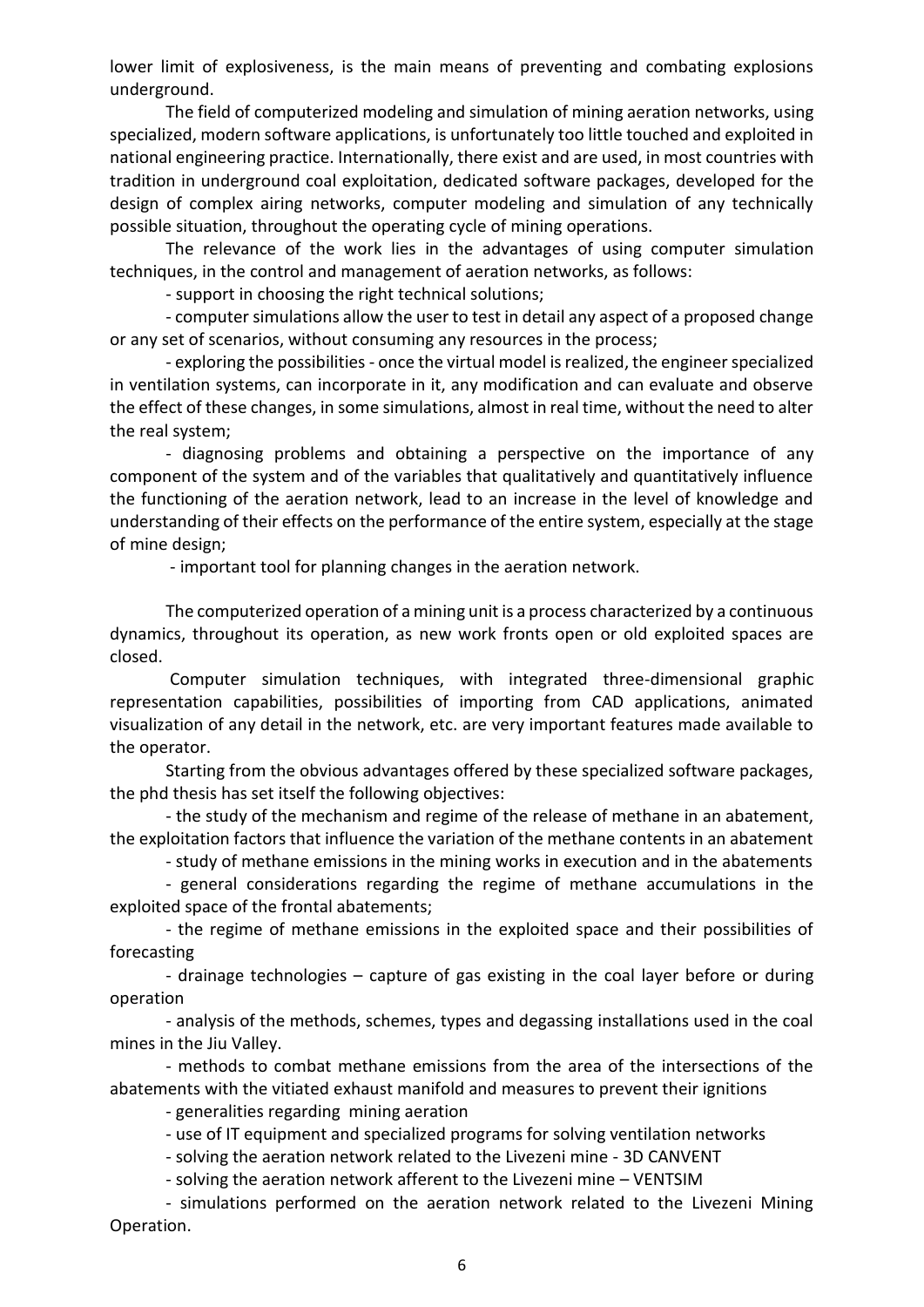lower limit of explosiveness, is the main means of preventing and combating explosions underground.

The field of computerized modeling and simulation of mining aeration networks, using specialized, modern software applications, is unfortunately too little touched and exploited in national engineering practice. Internationally, there exist and are used, in most countries with tradition in underground coal exploitation, dedicated software packages, developed for the design of complex airing networks, computer modeling and simulation of any technically possible situation, throughout the operating cycle of mining operations.

The relevance of the work lies in the advantages of using computer simulation techniques, in the control and management of aeration networks, as follows:

- support in choosing the right technical solutions;

- computer simulations allow the user to test in detail any aspect of a proposed change or any set of scenarios, without consuming any resources in the process;

- exploring the possibilities - once the virtual model is realized, the engineer specialized in ventilation systems, can incorporate in it, any modification and can evaluate and observe the effect of these changes, in some simulations, almost in real time, without the need to alter the real system;

- diagnosing problems and obtaining a perspective on the importance of any component of the system and of the variables that qualitatively and quantitatively influence the functioning of the aeration network, lead to an increase in the level of knowledge and understanding of their effects on the performance of the entire system, especially at the stage of mine design;

- important tool for planning changes in the aeration network.

The computerized operation of a mining unit is a process characterized by a continuous dynamics, throughout its operation, as new work fronts open or old exploited spaces are closed.

Computer simulation techniques, with integrated three-dimensional graphic representation capabilities, possibilities of importing from CAD applications, animated visualization of any detail in the network, etc. are very important features made available to the operator.

Starting from the obvious advantages offered by these specialized software packages, the phd thesis has set itself the following objectives:

- the study of the mechanism and regime of the release of methane in an abatement, the exploitation factors that influence the variation of the methane contents in an abatement

- study of methane emissions in the mining works in execution and in the abatements - general considerations regarding the regime of methane accumulations in the exploited space of the frontal abatements;

- the regime of methane emissions in the exploited space and their possibilities of forecasting

- drainage technologies – capture of gas existing in the coal layer before or during operation

- analysis of the methods, schemes, types and degassing installations used in the coal mines in the Jiu Valley.

- methods to combat methane emissions from the area of the intersections of the abatements with the vitiated exhaust manifold and measures to prevent their ignitions

- generalities regarding mining aeration

- use of IT equipment and specialized programs for solving ventilation networks

- solving the aeration network related to the Livezeni mine - 3D CANVENT

- solving the aeration network afferent to the Livezeni mine – VENTSIM

- simulations performed on the aeration network related to the Livezeni Mining Operation.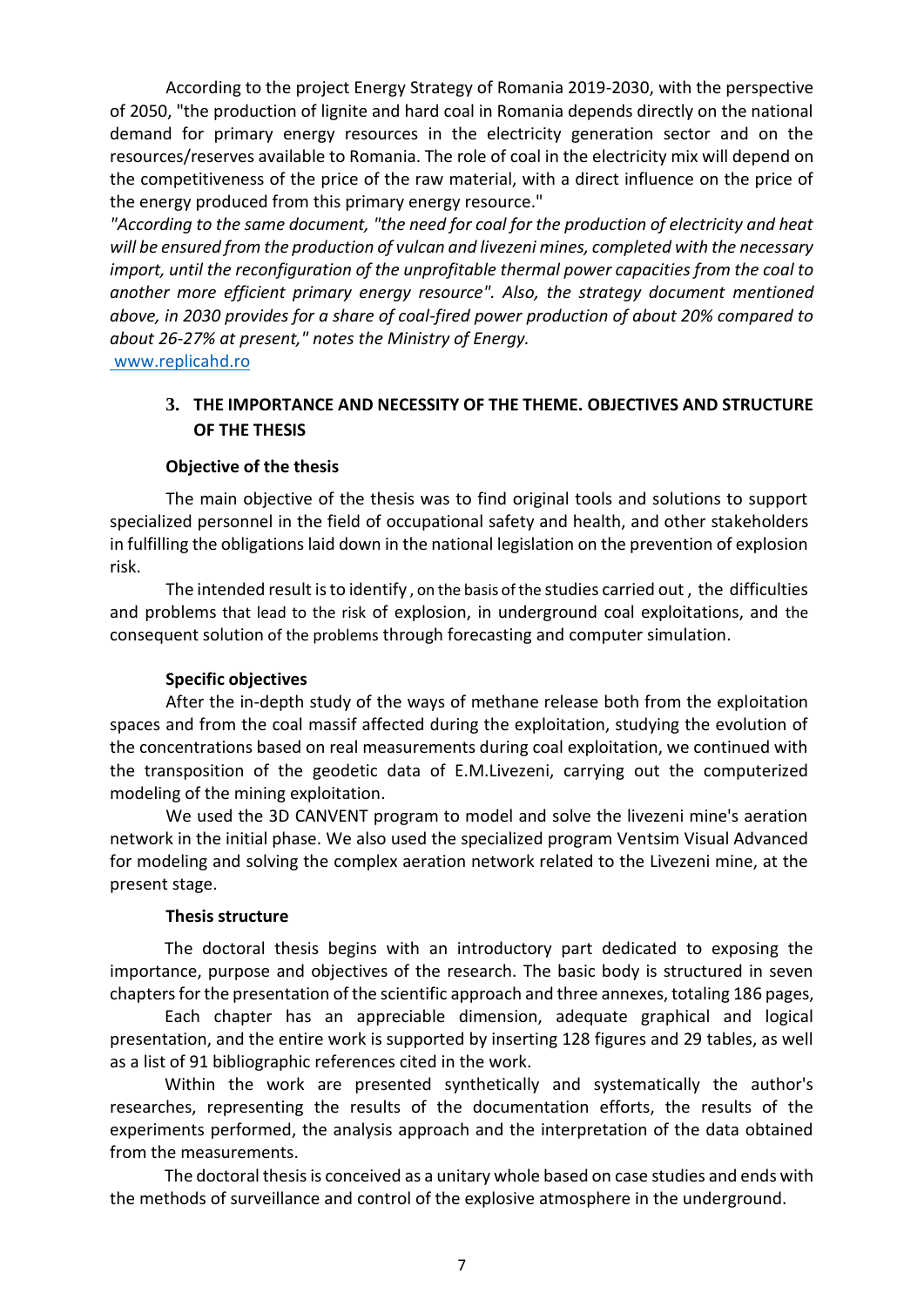According to the project Energy Strategy of Romania 2019-2030, with the perspective of 2050, "the production of lignite and hard coal in Romania depends directly on the national demand for primary energy resources in the electricity generation sector and on the resources/reserves available to Romania. The role of coal in the electricity mix will depend on the competitiveness of the price of the raw material, with a direct influence on the price of the energy produced from this primary energy resource."

*"According to the same document, "the need for coal for the production of electricity and heat will be ensured from the production of vulcan and livezeni mines, completed with the necessary import, until the reconfiguration of the unprofitable thermal power capacities from the coal to another more efficient primary energy resource". Also, the strategy document mentioned above, in 2030 provides for a share of coal-fired power production of about 20% compared to about 26-27% at present," notes the Ministry of Energy.*

[www.replicahd.ro](http://www.replicahd.ro/)

#### **3. THE IMPORTANCE AND NECESSITY OF THE THEME. OBJECTIVES AND STRUCTURE OF THE THESIS**

#### **Objective of the thesis**

The main objective of the thesis was to find original tools and solutions to support specialized personnel in the field of occupational safety and health, and other stakeholders in fulfilling the obligations laid down in the national legislation on the prevention of explosion risk.

The intended result is to identify , on the basis of the studies carried out , the difficulties and problems that lead to the risk of explosion, in underground coal exploitations, and the consequent solution of the problems through forecasting and computer simulation.

#### **Specific objectives**

After the in-depth study of the ways of methane release both from the exploitation spaces and from the coal massif affected during the exploitation, studying the evolution of the concentrations based on real measurements during coal exploitation, we continued with the transposition of the geodetic data of E.M.Livezeni, carrying out the computerized modeling of the mining exploitation.

We used the 3D CANVENT program to model and solve the livezeni mine's aeration network in the initial phase. We also used the specialized program Ventsim Visual Advanced for modeling and solving the complex aeration network related to the Livezeni mine, at the present stage.

#### **Thesis structure**

The doctoral thesis begins with an introductory part dedicated to exposing the importance, purpose and objectives of the research. The basic body is structured in seven chapters for the presentation of the scientific approach and three annexes, totaling 186 pages,

Each chapter has an appreciable dimension, adequate graphical and logical presentation, and the entire work is supported by inserting 128 figures and 29 tables, as well as a list of 91 bibliographic references cited in the work.

Within the work are presented synthetically and systematically the author's researches, representing the results of the documentation efforts, the results of the experiments performed, the analysis approach and the interpretation of the data obtained from the measurements.

The doctoral thesis is conceived as a unitary whole based on case studies and ends with the methods of surveillance and control of the explosive atmosphere in the underground.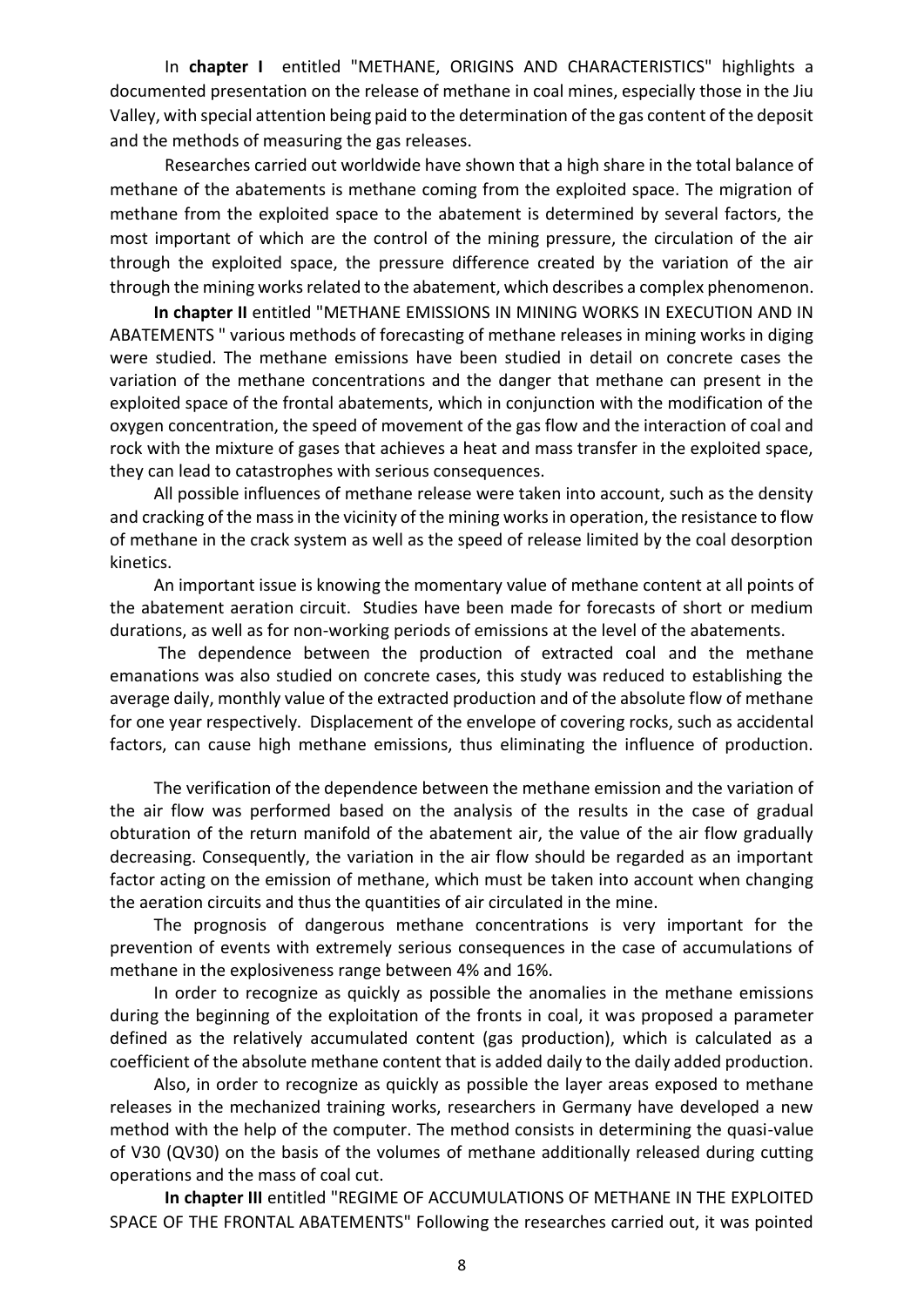In **chapter I** entitled "METHANE, ORIGINS AND CHARACTERISTICS" highlights a documented presentation on the release of methane in coal mines, especially those in the Jiu Valley, with special attention being paid to the determination of the gas content of the deposit and the methods of measuring the gas releases.

Researches carried out worldwide have shown that a high share in the total balance of methane of the abatements is methane coming from the exploited space. The migration of methane from the exploited space to the abatement is determined by several factors, the most important of which are the control of the mining pressure, the circulation of the air through the exploited space, the pressure difference created by the variation of the air through the mining works related to the abatement, which describes a complex phenomenon.

**In chapter II** entitled "METHANE EMISSIONS IN MINING WORKS IN EXECUTION AND IN ABATEMENTS " various methods of forecasting of methane releases in mining works in diging were studied. The methane emissions have been studied in detail on concrete cases the variation of the methane concentrations and the danger that methane can present in the exploited space of the frontal abatements, which in conjunction with the modification of the oxygen concentration, the speed of movement of the gas flow and the interaction of coal and rock with the mixture of gases that achieves a heat and mass transfer in the exploited space, they can lead to catastrophes with serious consequences.

All possible influences of methane release were taken into account, such as the density and cracking of the mass in the vicinity of the mining works in operation, the resistance to flow of methane in the crack system as well as the speed of release limited by the coal desorption kinetics.

An important issue is knowing the momentary value of methane content at all points of the abatement aeration circuit. Studies have been made for forecasts of short or medium durations, as well as for non-working periods of emissions at the level of the abatements.

The dependence between the production of extracted coal and the methane emanations was also studied on concrete cases, this study was reduced to establishing the average daily, monthly value of the extracted production and of the absolute flow of methane for one year respectively. Displacement of the envelope of covering rocks, such as accidental factors, can cause high methane emissions, thus eliminating the influence of production.

The verification of the dependence between the methane emission and the variation of the air flow was performed based on the analysis of the results in the case of gradual obturation of the return manifold of the abatement air, the value of the air flow gradually decreasing. Consequently, the variation in the air flow should be regarded as an important factor acting on the emission of methane, which must be taken into account when changing the aeration circuits and thus the quantities of air circulated in the mine.

The prognosis of dangerous methane concentrations is very important for the prevention of events with extremely serious consequences in the case of accumulations of methane in the explosiveness range between 4% and 16%.

In order to recognize as quickly as possible the anomalies in the methane emissions during the beginning of the exploitation of the fronts in coal, it was proposed a parameter defined as the relatively accumulated content (gas production), which is calculated as a coefficient of the absolute methane content that is added daily to the daily added production.

Also, in order to recognize as quickly as possible the layer areas exposed to methane releases in the mechanized training works, researchers in Germany have developed a new method with the help of the computer. The method consists in determining the quasi-value of V30 (QV30) on the basis of the volumes of methane additionally released during cutting operations and the mass of coal cut.

**In chapter III** entitled "REGIME OF ACCUMULATIONS OF METHANE IN THE EXPLOITED SPACE OF THE FRONTAL ABATEMENTS" Following the researches carried out, it was pointed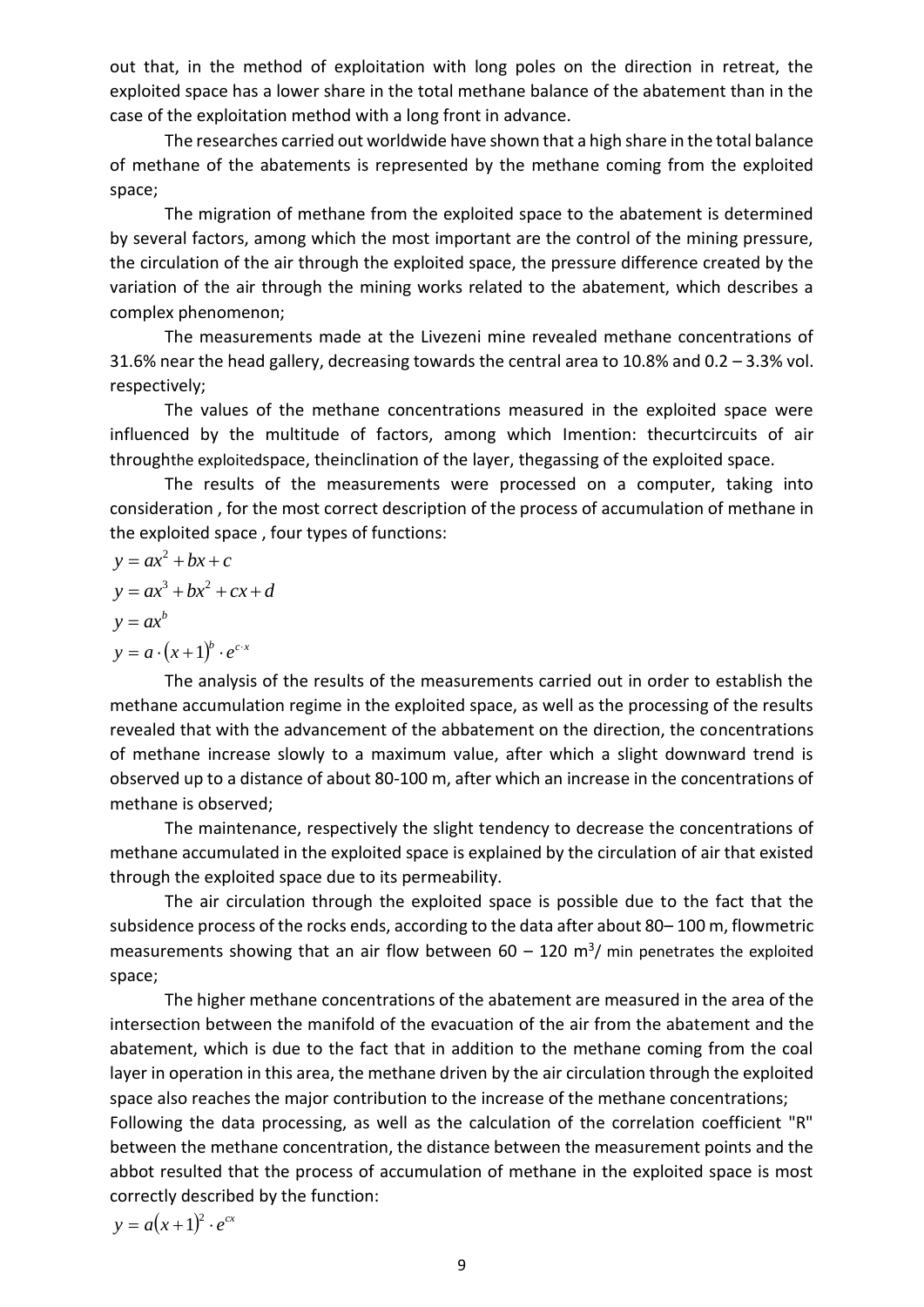out that, in the method of exploitation with long poles on the direction in retreat, the exploited space has a lower share in the total methane balance of the abatement than in the case of the exploitation method with a long front in advance.

The researches carried out worldwide have shown that a high share in the total balance of methane of the abatements is represented by the methane coming from the exploited space;

The migration of methane from the exploited space to the abatement is determined by several factors, among which the most important are the control of the mining pressure, the circulation of the air through the exploited space, the pressure difference created by the variation of the air through the mining works related to the abatement, which describes a complex phenomenon;

The measurements made at the Livezeni mine revealed methane concentrations of 31.6% near the head gallery, decreasing towards the central area to 10.8% and 0.2 – 3.3% vol. respectively;

The values of the methane concentrations measured in the exploited space were influenced by the multitude of factors, among which Imention: thecurtcircuits of air throughthe exploitedspace, theinclination of the layer, thegassing of the exploited space.

The results of the measurements were processed on a computer, taking into consideration , for the most correct description of the process of accumulation of methane in the exploited space , four types of functions:

$$
y = ax2 + bx + c
$$
  
\n
$$
y = ax3 + bx2 + cx + d
$$
  
\n
$$
y = axb
$$
  
\n
$$
y = a \cdot (x + 1)b \cdot ec \cdot x
$$

The analysis of the results of the measurements carried out in order to establish the methane accumulation regime in the exploited space, as well as the processing of the results revealed that with the advancement of the abbatement on the direction, the concentrations of methane increase slowly to a maximum value, after which a slight downward trend is observed up to a distance of about 80-100 m, after which an increase in the concentrations of methane is observed;

The maintenance, respectively the slight tendency to decrease the concentrations of methane accumulated in the exploited space is explained by the circulation of air that existed through the exploited space due to its permeability.

The air circulation through the exploited space is possible due to the fact that the subsidence process of the rocks ends, according to the data after about 80– 100 m, flowmetric measurements showing that an air flow between  $60 - 120$  m<sup>3</sup>/ min penetrates the exploited space;

The higher methane concentrations of the abatement are measured in the area of the intersection between the manifold of the evacuation of the air from the abatement and the abatement, which is due to the fact that in addition to the methane coming from the coal layer in operation in this area, the methane driven by the air circulation through the exploited space also reaches the major contribution to the increase of the methane concentrations; Following the data processing, as well as the calculation of the correlation coefficient "R"

between the methane concentration, the distance between the measurement points and the abbot resulted that the process of accumulation of methane in the exploited space is most correctly described by the function:

 $y = a(x+1)^2 \cdot e^{cx}$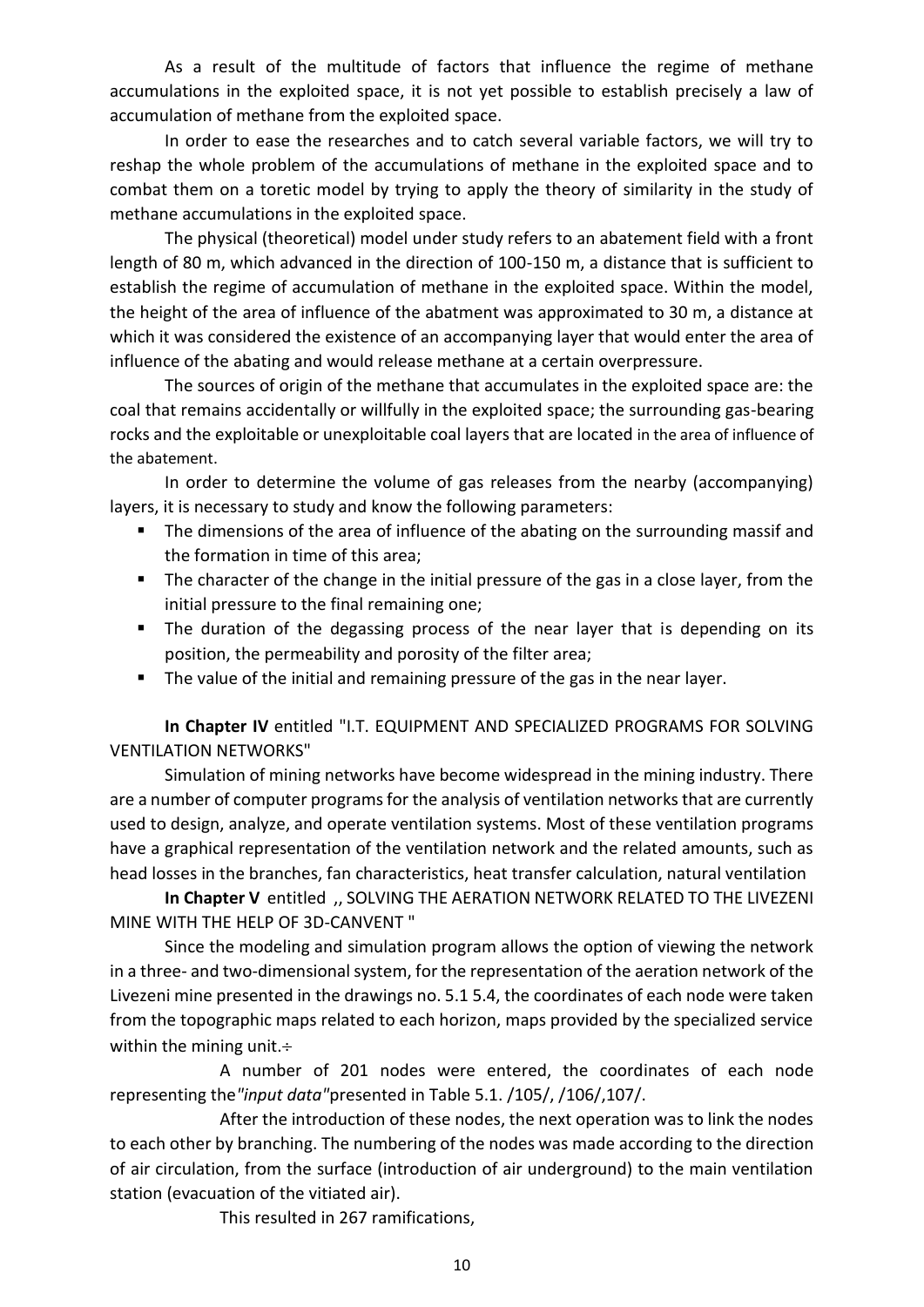As a result of the multitude of factors that influence the regime of methane accumulations in the exploited space, it is not yet possible to establish precisely a law of accumulation of methane from the exploited space.

In order to ease the researches and to catch several variable factors, we will try to reshap the whole problem of the accumulations of methane in the exploited space and to combat them on a toretic model by trying to apply the theory of similarity in the study of methane accumulations in the exploited space.

The physical (theoretical) model under study refers to an abatement field with a front length of 80 m, which advanced in the direction of 100-150 m, a distance that is sufficient to establish the regime of accumulation of methane in the exploited space. Within the model, the height of the area of influence of the abatment was approximated to 30 m, a distance at which it was considered the existence of an accompanying layer that would enter the area of influence of the abating and would release methane at a certain overpressure.

The sources of origin of the methane that accumulates in the exploited space are: the coal that remains accidentally or willfully in the exploited space; the surrounding gas-bearing rocks and the exploitable or unexploitable coal layers that are located in the area of influence of the abatement.

In order to determine the volume of gas releases from the nearby (accompanying) layers, it is necessary to study and know the following parameters:

- The dimensions of the area of influence of the abating on the surrounding massif and the formation in time of this area;
- **The character of the change in the initial pressure of the gas in a close layer, from the** initial pressure to the final remaining one;
- The duration of the degassing process of the near layer that is depending on its position, the permeability and porosity of the filter area;
- The value of the initial and remaining pressure of the gas in the near layer.

**In Chapter IV** entitled "I.T. EQUIPMENT AND SPECIALIZED PROGRAMS FOR SOLVING VENTILATION NETWORKS"

Simulation of mining networks have become widespread in the mining industry. There are a number of computer programs for the analysis of ventilation networks that are currently used to design, analyze, and operate ventilation systems. Most of these ventilation programs have a graphical representation of the ventilation network and the related amounts, such as head losses in the branches, fan characteristics, heat transfer calculation, natural ventilation

**In Chapter V** entitled ,, SOLVING THE AERATION NETWORK RELATED TO THE LIVEZENI MINE WITH THE HELP OF 3D-CANVENT "

Since the modeling and simulation program allows the option of viewing the network in a three- and two-dimensional system, for the representation of the aeration network of the Livezeni mine presented in the drawings no. 5.1 5.4, the coordinates of each node were taken from the topographic maps related to each horizon, maps provided by the specialized service within the mining unit.+

A number of 201 nodes were entered, the coordinates of each node representing the*"input data"*presented in Table 5.1. /105/, /106/,107/.

After the introduction of these nodes, the next operation was to link the nodes to each other by branching. The numbering of the nodes was made according to the direction of air circulation, from the surface (introduction of air underground) to the main ventilation station (evacuation of the vitiated air).

This resulted in 267 ramifications,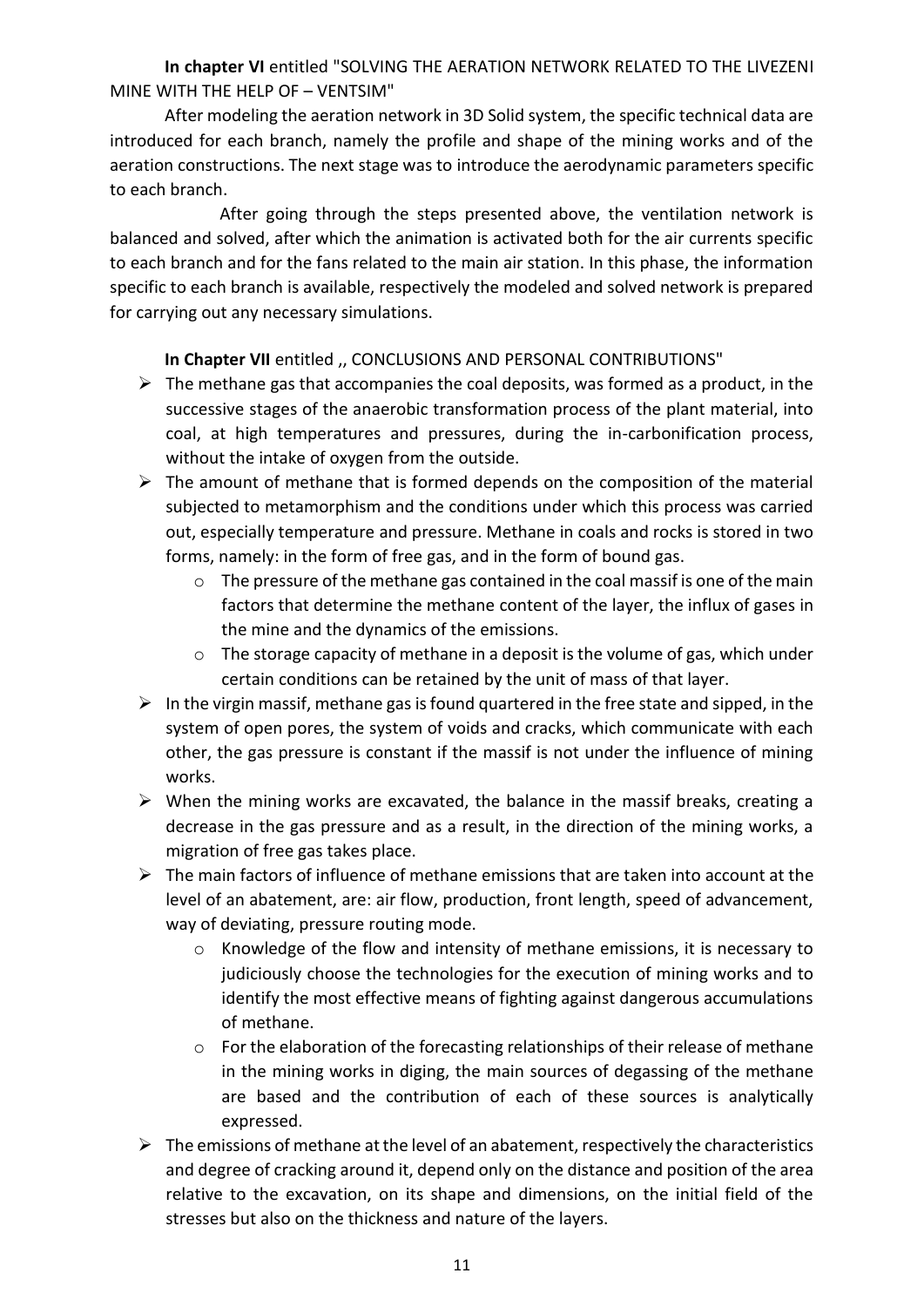**In chapter VI** entitled "SOLVING THE AERATION NETWORK RELATED TO THE LIVEZENI MINE WITH THE HELP OF – VENTSIM"

After modeling the aeration network in 3D Solid system, the specific technical data are introduced for each branch, namely the profile and shape of the mining works and of the aeration constructions. The next stage was to introduce the aerodynamic parameters specific to each branch.

After going through the steps presented above, the ventilation network is balanced and solved, after which the animation is activated both for the air currents specific to each branch and for the fans related to the main air station. In this phase, the information specific to each branch is available, respectively the modeled and solved network is prepared for carrying out any necessary simulations.

In Chapter VII entitled ,, CONCLUSIONS AND PERSONAL CONTRIBUTIONS"

- $\triangleright$  The methane gas that accompanies the coal deposits, was formed as a product, in the successive stages of the anaerobic transformation process of the plant material, into coal, at high temperatures and pressures, during the in-carbonification process, without the intake of oxygen from the outside.
- $\triangleright$  The amount of methane that is formed depends on the composition of the material subjected to metamorphism and the conditions under which this process was carried out, especially temperature and pressure. Methane in coals and rocks is stored in two forms, namely: in the form of free gas, and in the form of bound gas.
	- $\circ$  The pressure of the methane gas contained in the coal massif is one of the main factors that determine the methane content of the layer, the influx of gases in the mine and the dynamics of the emissions.
	- o The storage capacity of methane in a deposit is the volume of gas, which under certain conditions can be retained by the unit of mass of that layer.
- $\triangleright$  In the virgin massif, methane gas is found quartered in the free state and sipped, in the system of open pores, the system of voids and cracks, which communicate with each other, the gas pressure is constant if the massif is not under the influence of mining works.
- $\triangleright$  When the mining works are excavated, the balance in the massif breaks, creating a decrease in the gas pressure and as a result, in the direction of the mining works, a migration of free gas takes place.
- $\triangleright$  The main factors of influence of methane emissions that are taken into account at the level of an abatement, are: air flow, production, front length, speed of advancement, way of deviating, pressure routing mode.
	- o Knowledge of the flow and intensity of methane emissions, it is necessary to judiciously choose the technologies for the execution of mining works and to identify the most effective means of fighting against dangerous accumulations of methane.
	- $\circ$  For the elaboration of the forecasting relationships of their release of methane in the mining works in diging, the main sources of degassing of the methane are based and the contribution of each of these sources is analytically expressed.
- $\triangleright$  The emissions of methane at the level of an abatement, respectively the characteristics and degree of cracking around it, depend only on the distance and position of the area relative to the excavation, on its shape and dimensions, on the initial field of the stresses but also on the thickness and nature of the layers.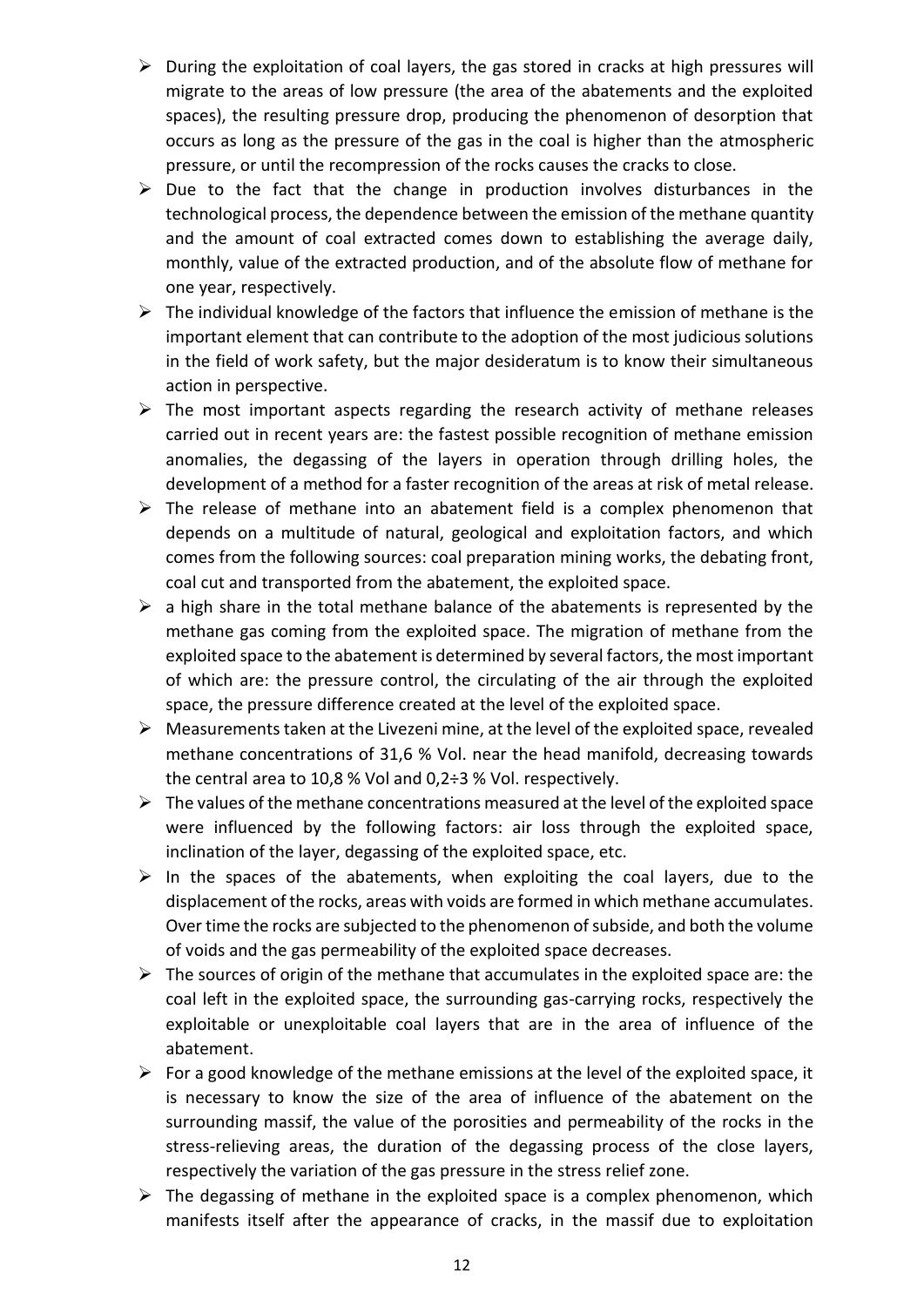- ➢ During the exploitation of coal layers, the gas stored in cracks at high pressures will migrate to the areas of low pressure (the area of the abatements and the exploited spaces), the resulting pressure drop, producing the phenomenon of desorption that occurs as long as the pressure of the gas in the coal is higher than the atmospheric pressure, or until the recompression of the rocks causes the cracks to close.
- $\triangleright$  Due to the fact that the change in production involves disturbances in the technological process, the dependence between the emission of the methane quantity and the amount of coal extracted comes down to establishing the average daily, monthly, value of the extracted production, and of the absolute flow of methane for one year, respectively.
- $\triangleright$  The individual knowledge of the factors that influence the emission of methane is the important element that can contribute to the adoption of the most judicious solutions in the field of work safety, but the major desideratum is to know their simultaneous action in perspective.
- $\triangleright$  The most important aspects regarding the research activity of methane releases carried out in recent years are: the fastest possible recognition of methane emission anomalies, the degassing of the layers in operation through drilling holes, the development of a method for a faster recognition of the areas at risk of metal release.
- $\triangleright$  The release of methane into an abatement field is a complex phenomenon that depends on a multitude of natural, geological and exploitation factors, and which comes from the following sources: coal preparation mining works, the debating front, coal cut and transported from the abatement, the exploited space.
- $\triangleright$  a high share in the total methane balance of the abatements is represented by the methane gas coming from the exploited space. The migration of methane from the exploited space to the abatement is determined by several factors, the most important of which are: the pressure control, the circulating of the air through the exploited space, the pressure difference created at the level of the exploited space.
- ➢ Measurements taken at the Livezeni mine, at the level of the exploited space, revealed methane concentrations of 31,6 % Vol. near the head manifold, decreasing towards the central area to 10,8 % Vol and 0,2÷3 % Vol. respectively.
- $\triangleright$  The values of the methane concentrations measured at the level of the exploited space were influenced by the following factors: air loss through the exploited space, inclination of the layer, degassing of the exploited space, etc.
- $\triangleright$  In the spaces of the abatements, when exploiting the coal layers, due to the displacement of the rocks, areas with voids are formed in which methane accumulates. Over time the rocks are subjected to the phenomenon of subside, and both the volume of voids and the gas permeability of the exploited space decreases.
- $\triangleright$  The sources of origin of the methane that accumulates in the exploited space are: the coal left in the exploited space, the surrounding gas-carrying rocks, respectively the exploitable or unexploitable coal layers that are in the area of influence of the abatement.
- $\triangleright$  For a good knowledge of the methane emissions at the level of the exploited space, it is necessary to know the size of the area of influence of the abatement on the surrounding massif, the value of the porosities and permeability of the rocks in the stress-relieving areas, the duration of the degassing process of the close layers, respectively the variation of the gas pressure in the stress relief zone.
- $\triangleright$  The degassing of methane in the exploited space is a complex phenomenon, which manifests itself after the appearance of cracks, in the massif due to exploitation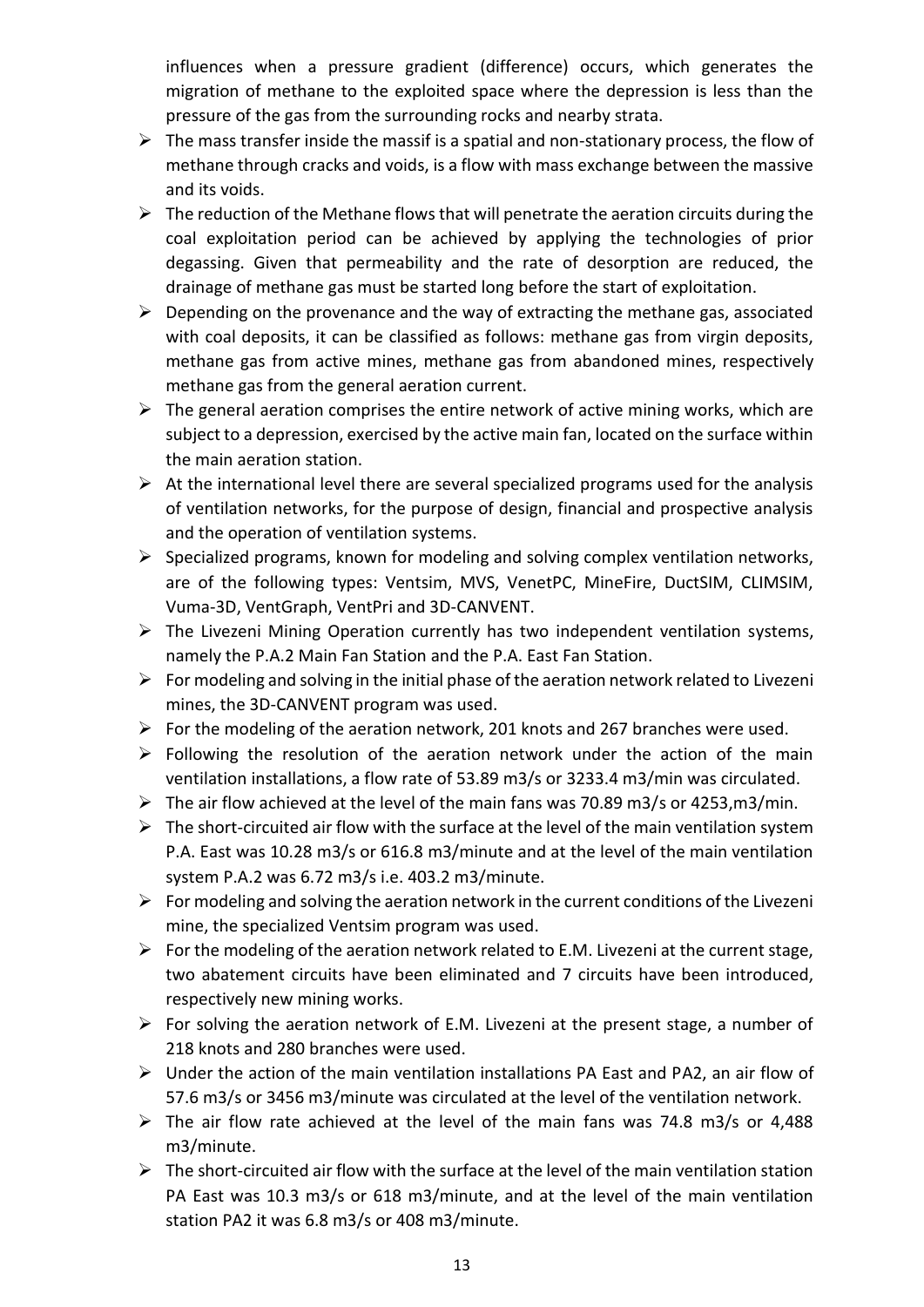influences when a pressure gradient (difference) occurs, which generates the migration of methane to the exploited space where the depression is less than the pressure of the gas from the surrounding rocks and nearby strata.

- $\triangleright$  The mass transfer inside the massif is a spatial and non-stationary process, the flow of methane through cracks and voids, is a flow with mass exchange between the massive and its voids.
- $\triangleright$  The reduction of the Methane flows that will penetrate the aeration circuits during the coal exploitation period can be achieved by applying the technologies of prior degassing. Given that permeability and the rate of desorption are reduced, the drainage of methane gas must be started long before the start of exploitation.
- $\triangleright$  Depending on the provenance and the way of extracting the methane gas, associated with coal deposits, it can be classified as follows: methane gas from virgin deposits, methane gas from active mines, methane gas from abandoned mines, respectively methane gas from the general aeration current.
- $\triangleright$  The general aeration comprises the entire network of active mining works, which are subject to a depression, exercised by the active main fan, located on the surface within the main aeration station.
- $\triangleright$  At the international level there are several specialized programs used for the analysis of ventilation networks, for the purpose of design, financial and prospective analysis and the operation of ventilation systems.
- ➢ Specialized programs, known for modeling and solving complex ventilation networks, are of the following types: Ventsim, MVS, VenetPC, MineFire, DuctSIM, CLIMSIM, Vuma-3D, VentGraph, VentPri and 3D-CANVENT.
- ➢ The Livezeni Mining Operation currently has two independent ventilation systems, namely the P.A.2 Main Fan Station and the P.A. East Fan Station.
- $\triangleright$  For modeling and solving in the initial phase of the aeration network related to Livezeni mines, the 3D-CANVENT program was used.
- $\triangleright$  For the modeling of the aeration network, 201 knots and 267 branches were used.
- ➢ Following the resolution of the aeration network under the action of the main ventilation installations, a flow rate of 53.89 m3/s or 3233.4 m3/min was circulated.
- $\triangleright$  The air flow achieved at the level of the main fans was 70.89 m3/s or 4253, m3/min.
- $\triangleright$  The short-circuited air flow with the surface at the level of the main ventilation system P.A. East was 10.28 m3/s or 616.8 m3/minute and at the level of the main ventilation system P.A.2 was 6.72 m3/s i.e. 403.2 m3/minute.
- $\triangleright$  For modeling and solving the aeration network in the current conditions of the Livezeni mine, the specialized Ventsim program was used.
- $\triangleright$  For the modeling of the aeration network related to E.M. Livezeni at the current stage, two abatement circuits have been eliminated and 7 circuits have been introduced, respectively new mining works.
- $\triangleright$  For solving the aeration network of E.M. Livezeni at the present stage, a number of 218 knots and 280 branches were used.
- ➢ Under the action of the main ventilation installations PA East and PA2, an air flow of 57.6 m3/s or 3456 m3/minute was circulated at the level of the ventilation network.
- $\triangleright$  The air flow rate achieved at the level of the main fans was 74.8 m3/s or 4,488 m3/minute.
- $\triangleright$  The short-circuited air flow with the surface at the level of the main ventilation station PA East was 10.3 m3/s or 618 m3/minute, and at the level of the main ventilation station PA2 it was 6.8 m3/s or 408 m3/minute.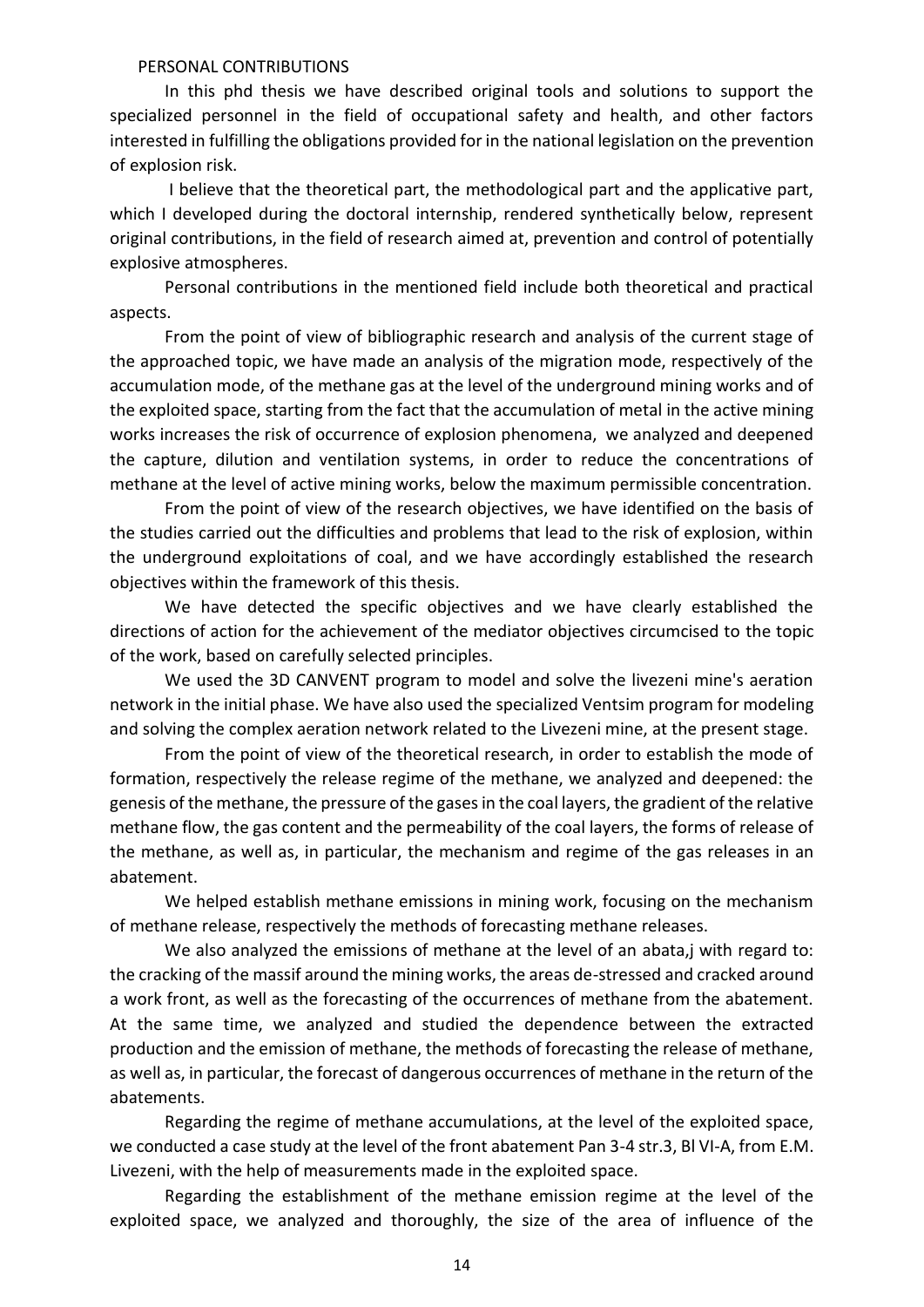#### PERSONAL CONTRIBUTIONS

In this phd thesis we have described original tools and solutions to support the specialized personnel in the field of occupational safety and health, and other factors interested in fulfilling the obligations provided for in the national legislation on the prevention of explosion risk.

I believe that the theoretical part, the methodological part and the applicative part, which I developed during the doctoral internship, rendered synthetically below, represent original contributions, in the field of research aimed at, prevention and control of potentially explosive atmospheres.

Personal contributions in the mentioned field include both theoretical and practical aspects.

From the point of view of bibliographic research and analysis of the current stage of the approached topic, we have made an analysis of the migration mode, respectively of the accumulation mode, of the methane gas at the level of the underground mining works and of the exploited space, starting from the fact that the accumulation of metal in the active mining works increases the risk of occurrence of explosion phenomena, we analyzed and deepened the capture, dilution and ventilation systems, in order to reduce the concentrations of methane at the level of active mining works, below the maximum permissible concentration.

From the point of view of the research objectives, we have identified on the basis of the studies carried out the difficulties and problems that lead to the risk of explosion, within the underground exploitations of coal, and we have accordingly established the research objectives within the framework of this thesis.

We have detected the specific objectives and we have clearly established the directions of action for the achievement of the mediator objectives circumcised to the topic of the work, based on carefully selected principles.

We used the 3D CANVENT program to model and solve the livezeni mine's aeration network in the initial phase. We have also used the specialized Ventsim program for modeling and solving the complex aeration network related to the Livezeni mine, at the present stage.

From the point of view of the theoretical research, in order to establish the mode of formation, respectively the release regime of the methane, we analyzed and deepened: the genesis of the methane, the pressure of the gases in the coal layers, the gradient of the relative methane flow, the gas content and the permeability of the coal layers, the forms of release of the methane, as well as, in particular, the mechanism and regime of the gas releases in an abatement.

We helped establish methane emissions in mining work, focusing on the mechanism of methane release, respectively the methods of forecasting methane releases.

We also analyzed the emissions of methane at the level of an abata,j with regard to: the cracking of the massif around the mining works, the areas de-stressed and cracked around a work front, as well as the forecasting of the occurrences of methane from the abatement. At the same time, we analyzed and studied the dependence between the extracted production and the emission of methane, the methods of forecasting the release of methane, as well as, in particular, the forecast of dangerous occurrences of methane in the return of the abatements.

Regarding the regime of methane accumulations, at the level of the exploited space, we conducted a case study at the level of the front abatement Pan 3-4 str.3, Bl VI-A, from E.M. Livezeni, with the help of measurements made in the exploited space.

Regarding the establishment of the methane emission regime at the level of the exploited space, we analyzed and thoroughly, the size of the area of influence of the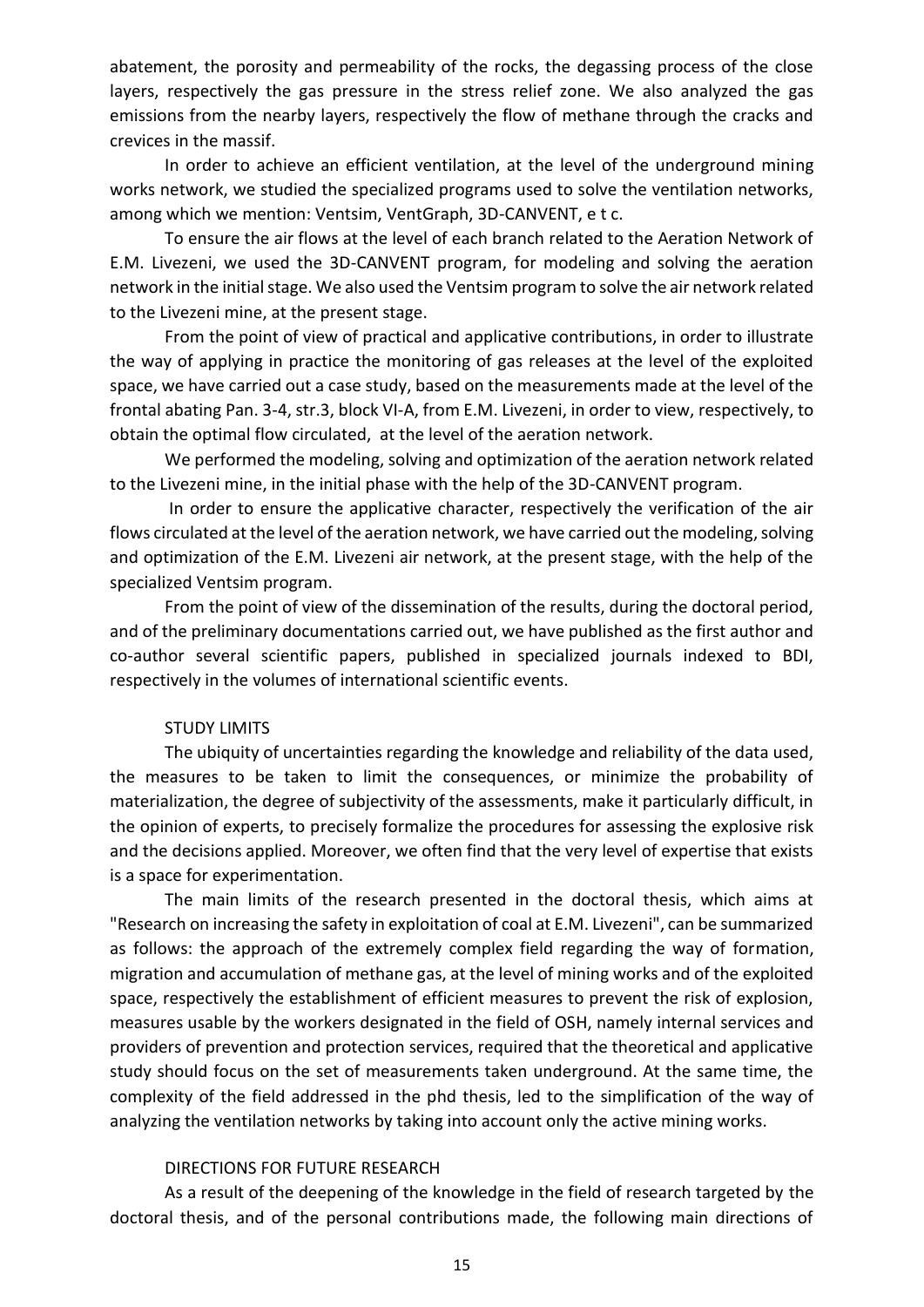abatement, the porosity and permeability of the rocks, the degassing process of the close layers, respectively the gas pressure in the stress relief zone. We also analyzed the gas emissions from the nearby layers, respectively the flow of methane through the cracks and crevices in the massif.

In order to achieve an efficient ventilation, at the level of the underground mining works network, we studied the specialized programs used to solve the ventilation networks, among which we mention: Ventsim, VentGraph, 3D-CANVENT, e t c.

To ensure the air flows at the level of each branch related to the Aeration Network of E.M. Livezeni, we used the 3D-CANVENT program, for modeling and solving the aeration network in the initial stage. We also used the Ventsim program to solve the air network related to the Livezeni mine, at the present stage.

From the point of view of practical and applicative contributions, in order to illustrate the way of applying in practice the monitoring of gas releases at the level of the exploited space, we have carried out a case study, based on the measurements made at the level of the frontal abating Pan. 3-4, str.3, block VI-A, from E.M. Livezeni, in order to view, respectively, to obtain the optimal flow circulated, at the level of the aeration network.

We performed the modeling, solving and optimization of the aeration network related to the Livezeni mine, in the initial phase with the help of the 3D-CANVENT program.

In order to ensure the applicative character, respectively the verification of the air flows circulated at the level of the aeration network, we have carried out the modeling, solving and optimization of the E.M. Livezeni air network, at the present stage, with the help of the specialized Ventsim program.

From the point of view of the dissemination of the results, during the doctoral period, and of the preliminary documentations carried out, we have published as the first author and co-author several scientific papers, published in specialized journals indexed to BDI, respectively in the volumes of international scientific events.

#### STUDY LIMITS

The ubiquity of uncertainties regarding the knowledge and reliability of the data used, the measures to be taken to limit the consequences, or minimize the probability of materialization, the degree of subjectivity of the assessments, make it particularly difficult, in the opinion of experts, to precisely formalize the procedures for assessing the explosive risk and the decisions applied. Moreover, we often find that the very level of expertise that exists is a space for experimentation.

The main limits of the research presented in the doctoral thesis, which aims at "Research on increasing the safety in exploitation of coal at E.M. Livezeni", can be summarized as follows: the approach of the extremely complex field regarding the way of formation, migration and accumulation of methane gas, at the level of mining works and of the exploited space, respectively the establishment of efficient measures to prevent the risk of explosion, measures usable by the workers designated in the field of OSH, namely internal services and providers of prevention and protection services, required that the theoretical and applicative study should focus on the set of measurements taken underground. At the same time, the complexity of the field addressed in the phd thesis, led to the simplification of the way of analyzing the ventilation networks by taking into account only the active mining works.

#### DIRECTIONS FOR FUTURE RESEARCH

As a result of the deepening of the knowledge in the field of research targeted by the doctoral thesis, and of the personal contributions made, the following main directions of